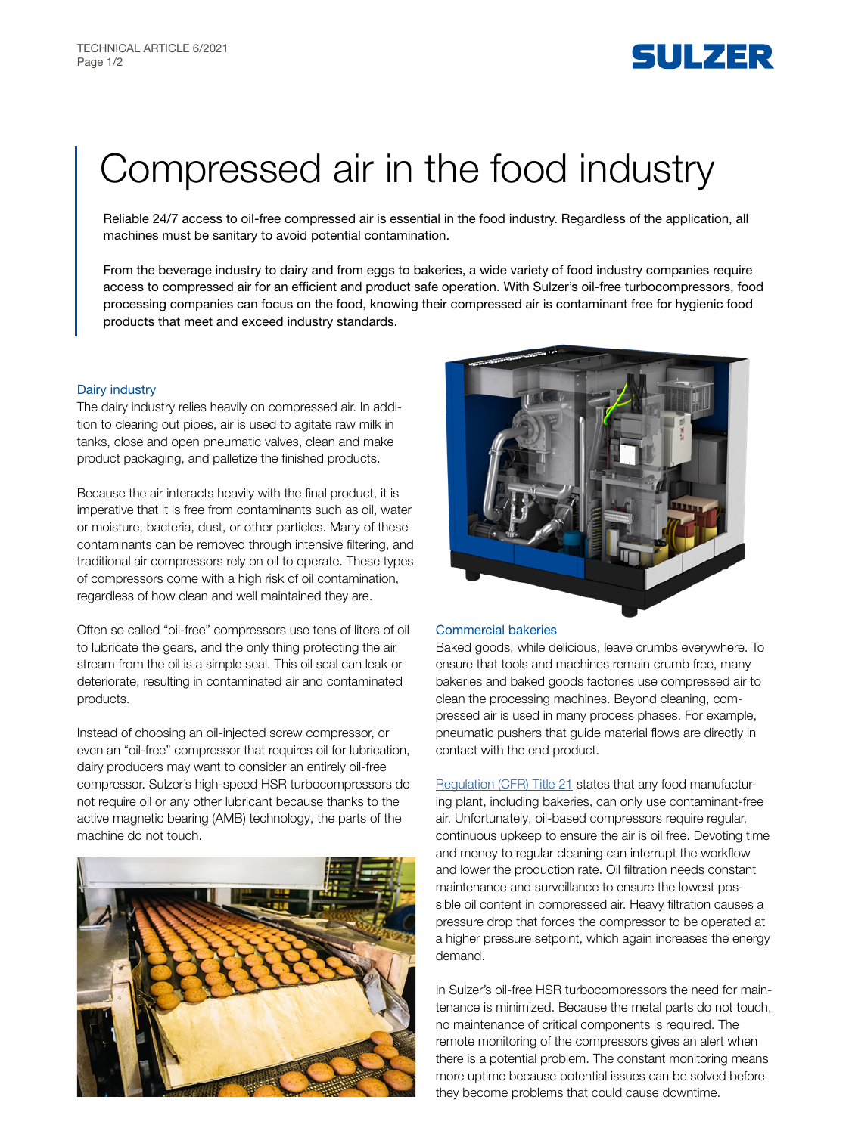# SULZER

# Compressed air in the food industry

Reliable 24/7 access to oil-free compressed air is essential in the food industry. Regardless of the application, all machines must be sanitary to avoid potential contamination.

From the beverage industry to dairy and from eggs to bakeries, a wide variety of food industry companies require access to compressed air for an efficient and product safe operation. With Sulzer's oil-free turbocompressors, food processing companies can focus on the food, knowing their compressed air is contaminant free for hygienic food products that meet and exceed industry standards.

### Dairy industry

The dairy industry relies heavily on compressed air. In addition to clearing out pipes, air is used to agitate raw milk in tanks, close and open pneumatic valves, clean and make product packaging, and palletize the finished products.

Because the air interacts heavily with the final product, it is imperative that it is free from contaminants such as oil, water or moisture, bacteria, dust, or other particles. Many of these contaminants can be removed through intensive filtering, and traditional air compressors rely on oil to operate. These types of compressors come with a high risk of oil contamination, regardless of how clean and well maintained they are.

Often so called "oil-free" compressors use tens of liters of oil to lubricate the gears, and the only thing protecting the air stream from the oil is a simple seal. This oil seal can leak or deteriorate, resulting in contaminated air and contaminated products.

Instead of choosing an oil-injected screw compressor, or even an "oil-free" compressor that requires oil for lubrication, dairy producers may want to consider an entirely oil-free compressor. Sulzer's high-speed HSR turbocompressors do not require oil or any other lubricant because thanks to the active magnetic bearing (AMB) technology, the parts of the machine do not touch.





#### Commercial bakeries

Baked goods, while delicious, leave crumbs everywhere. To ensure that tools and machines remain crumb free, many bakeries and baked goods factories use compressed air to clean the processing machines. Beyond cleaning, compressed air is used in many process phases. For example, pneumatic pushers that guide material flows are directly in contact with the end product.

[Regulation \(CFR\) Title 21](https://www.accessdata.fda.gov/scripts/cdrh/cfdocs/cfcfr/cfrsearch.cfm?fr=176.170) states that any food manufacturing plant, including bakeries, can only use contaminant-free air. Unfortunately, oil-based compressors require regular, continuous upkeep to ensure the air is oil free. Devoting time and money to regular cleaning can interrupt the workflow and lower the production rate. Oil filtration needs constant maintenance and surveillance to ensure the lowest possible oil content in compressed air. Heavy filtration causes a pressure drop that forces the compressor to be operated at a higher pressure setpoint, which again increases the energy demand.

In Sulzer's oil-free HSR turbocompressors the need for maintenance is minimized. Because the metal parts do not touch, no maintenance of critical components is required. The remote monitoring of the compressors gives an alert when there is a potential problem. The constant monitoring means more uptime because potential issues can be solved before they become problems that could cause downtime.